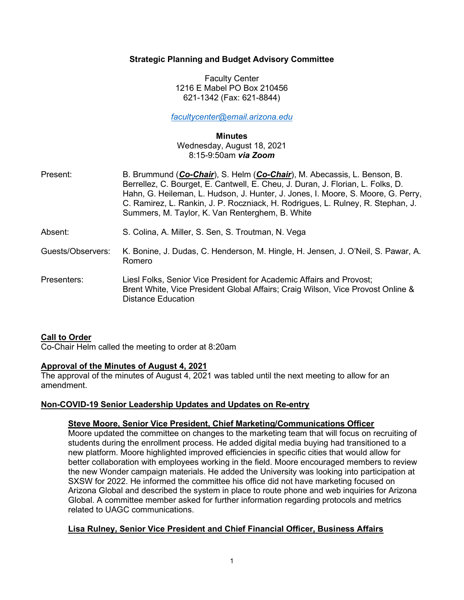## Strategic Planning and Budget Advisory Committee

Faculty Center 1216 E Mabel PO Box 210456 621-1342 (Fax: 621-8844)

facultycenter@email.arizona.edu

#### Minutes

Wednesday, August 18, 2021 8:15-9:50am via Zoom

| Present:          | B. Brummund (Co-Chair), S. Helm (Co-Chair), M. Abecassis, L. Benson, B.<br>Berrellez, C. Bourget, E. Cantwell, E. Cheu, J. Duran, J. Florian, L. Folks, D.<br>Hahn, G. Heileman, L. Hudson, J. Hunter, J. Jones, I. Moore, S. Moore, G. Perry,<br>C. Ramirez, L. Rankin, J. P. Roczniack, H. Rodrigues, L. Rulney, R. Stephan, J.<br>Summers, M. Taylor, K. Van Renterghem, B. White |
|-------------------|--------------------------------------------------------------------------------------------------------------------------------------------------------------------------------------------------------------------------------------------------------------------------------------------------------------------------------------------------------------------------------------|
| Absent:           | S. Colina, A. Miller, S. Sen, S. Troutman, N. Vega                                                                                                                                                                                                                                                                                                                                   |
| Guests/Observers: | K. Bonine, J. Dudas, C. Henderson, M. Hingle, H. Jensen, J. O'Neil, S. Pawar, A.<br>Romero                                                                                                                                                                                                                                                                                           |
| Presenters:       | Liesl Folks, Senior Vice President for Academic Affairs and Provost;<br>Brent White, Vice President Global Affairs; Craig Wilson, Vice Provost Online &<br><b>Distance Education</b>                                                                                                                                                                                                 |

## Call to Order

Co-Chair Helm called the meeting to order at 8:20am

## Approval of the Minutes of August 4, 2021

The approval of the minutes of August 4, 2021 was tabled until the next meeting to allow for an amendment.

## Non-COVID-19 Senior Leadership Updates and Updates on Re-entry

#### Steve Moore, Senior Vice President, Chief Marketing/Communications Officer

Moore updated the committee on changes to the marketing team that will focus on recruiting of students during the enrollment process. He added digital media buying had transitioned to a new platform. Moore highlighted improved efficiencies in specific cities that would allow for better collaboration with employees working in the field. Moore encouraged members to review the new Wonder campaign materials. He added the University was looking into participation at SXSW for 2022. He informed the committee his office did not have marketing focused on Arizona Global and described the system in place to route phone and web inquiries for Arizona Global. A committee member asked for further information regarding protocols and metrics related to UAGC communications.

## Lisa Rulney, Senior Vice President and Chief Financial Officer, Business Affairs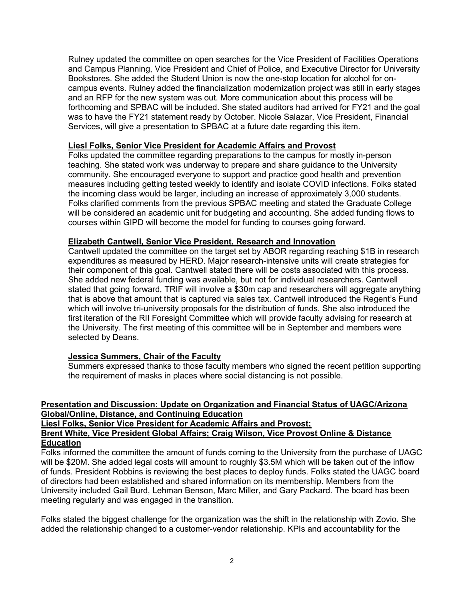Rulney updated the committee on open searches for the Vice President of Facilities Operations and Campus Planning, Vice President and Chief of Police, and Executive Director for University Bookstores. She added the Student Union is now the one-stop location for alcohol for oncampus events. Rulney added the financialization modernization project was still in early stages and an RFP for the new system was out. More communication about this process will be forthcoming and SPBAC will be included. She stated auditors had arrived for FY21 and the goal was to have the FY21 statement ready by October. Nicole Salazar, Vice President, Financial Services, will give a presentation to SPBAC at a future date regarding this item.

### Liesl Folks, Senior Vice President for Academic Affairs and Provost

Folks updated the committee regarding preparations to the campus for mostly in-person teaching. She stated work was underway to prepare and share guidance to the University community. She encouraged everyone to support and practice good health and prevention measures including getting tested weekly to identify and isolate COVID infections. Folks stated the incoming class would be larger, including an increase of approximately 3,000 students. Folks clarified comments from the previous SPBAC meeting and stated the Graduate College will be considered an academic unit for budgeting and accounting. She added funding flows to courses within GIPD will become the model for funding to courses going forward.

### Elizabeth Cantwell, Senior Vice President, Research and Innovation

Cantwell updated the committee on the target set by ABOR regarding reaching \$1B in research expenditures as measured by HERD. Major research-intensive units will create strategies for their component of this goal. Cantwell stated there will be costs associated with this process. She added new federal funding was available, but not for individual researchers. Cantwell stated that going forward, TRIF will involve a \$30m cap and researchers will aggregate anything that is above that amount that is captured via sales tax. Cantwell introduced the Regent's Fund which will involve tri-university proposals for the distribution of funds. She also introduced the first iteration of the RII Foresight Committee which will provide faculty advising for research at the University. The first meeting of this committee will be in September and members were selected by Deans.

# Jessica Summers, Chair of the Faculty

Summers expressed thanks to those faculty members who signed the recent petition supporting the requirement of masks in places where social distancing is not possible.

## Presentation and Discussion: Update on Organization and Financial Status of UAGC/Arizona Global/Online, Distance, and Continuing Education

Liesl Folks, Senior Vice President for Academic Affairs and Provost;

### Brent White, Vice President Global Affairs; Craig Wilson, Vice Provost Online & Distance **Education**

Folks informed the committee the amount of funds coming to the University from the purchase of UAGC will be \$20M. She added legal costs will amount to roughly \$3.5M which will be taken out of the inflow of funds. President Robbins is reviewing the best places to deploy funds. Folks stated the UAGC board of directors had been established and shared information on its membership. Members from the University included Gail Burd, Lehman Benson, Marc Miller, and Gary Packard. The board has been meeting regularly and was engaged in the transition.

Folks stated the biggest challenge for the organization was the shift in the relationship with Zovio. She added the relationship changed to a customer-vendor relationship. KPIs and accountability for the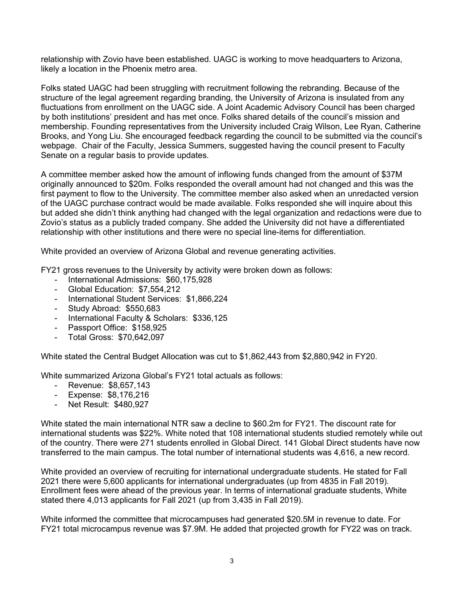relationship with Zovio have been established. UAGC is working to move headquarters to Arizona, likely a location in the Phoenix metro area.

Folks stated UAGC had been struggling with recruitment following the rebranding. Because of the structure of the legal agreement regarding branding, the University of Arizona is insulated from any fluctuations from enrollment on the UAGC side. A Joint Academic Advisory Council has been charged by both institutions' president and has met once. Folks shared details of the council's mission and membership. Founding representatives from the University included Craig Wilson, Lee Ryan, Catherine Brooks, and Yong Liu. She encouraged feedback regarding the council to be submitted via the council's webpage. Chair of the Faculty, Jessica Summers, suggested having the council present to Faculty Senate on a regular basis to provide updates.

A committee member asked how the amount of inflowing funds changed from the amount of \$37M originally announced to \$20m. Folks responded the overall amount had not changed and this was the first payment to flow to the University. The committee member also asked when an unredacted version of the UAGC purchase contract would be made available. Folks responded she will inquire about this but added she didn't think anything had changed with the legal organization and redactions were due to Zovio's status as a publicly traded company. She added the University did not have a differentiated relationship with other institutions and there were no special line-items for differentiation.

White provided an overview of Arizona Global and revenue generating activities.

FY21 gross revenues to the University by activity were broken down as follows:

- International Admissions: \$60,175,928
- Global Education: \$7,554,212
- International Student Services: \$1,866,224
- Study Abroad: \$550,683
- International Faculty & Scholars: \$336,125
- Passport Office: \$158,925
- Total Gross: \$70,642,097

White stated the Central Budget Allocation was cut to \$1,862,443 from \$2,880,942 in FY20.

White summarized Arizona Global's FY21 total actuals as follows:

- Revenue: \$8,657,143
- Expense: \$8,176,216
- Net Result: \$480,927

White stated the main international NTR saw a decline to \$60.2m for FY21. The discount rate for international students was \$22%. White noted that 108 international students studied remotely while out of the country. There were 271 students enrolled in Global Direct. 141 Global Direct students have now transferred to the main campus. The total number of international students was 4,616, a new record.

White provided an overview of recruiting for international undergraduate students. He stated for Fall 2021 there were 5,600 applicants for international undergraduates (up from 4835 in Fall 2019). Enrollment fees were ahead of the previous year. In terms of international graduate students, White stated there 4,013 applicants for Fall 2021 (up from 3,435 in Fall 2019).

White informed the committee that microcampuses had generated \$20.5M in revenue to date. For FY21 total microcampus revenue was \$7.9M. He added that projected growth for FY22 was on track.